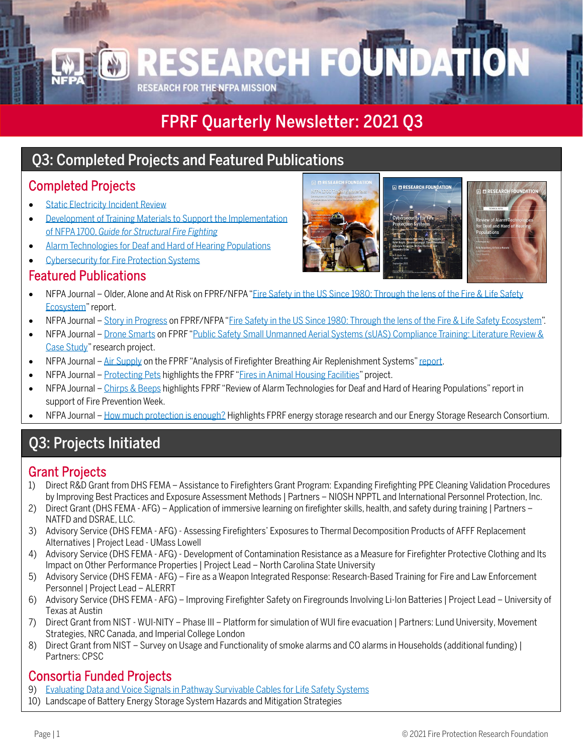## FPRF Quarterly Newsletter: 2021 Q3

### Q3: Completed Projects and Featured Publications

### Completed Projects

- [Static Electricity Incident Review](https://www.nfpa.org/News-and-Research/Data-research-and-tools/Electrical/Static-Electricity-Incident-Review)
- [Development of Training Materials to Support the Implementation](https://www.nfpa.org/News-and-Research/Data-research-and-tools/Emergency-Responders/NFPA-1700-Training-Materials-Development-of-Training-Materials-to-Support-the-Implementation)  of NFPA 1700, *[Guide for Structural Fire Fighting](https://www.nfpa.org/News-and-Research/Data-research-and-tools/Emergency-Responders/NFPA-1700-Training-Materials-Development-of-Training-Materials-to-Support-the-Implementation)*
- [Alarm Technologies for Deaf and Hard of Hearing Populations](https://www.nfpa.org/News-and-Research/Data-research-and-tools/Detection-and-Signaling/Review-of-Alarm-Technologies-for-Deaf-and-Hard-of-Hearing-Populations)
- [Cybersecurity for Fire Protection Systems](https://www.nfpa.org/News-and-Research/Data-research-and-tools/Building-and-Life-Safety/Cybersecurity-for-Fire-Protection-Systems)

#### Featured Publications

- NFPA Journal Older, Alone and At Risk on FPRF/NFPA ["Fire Safety in the US Since 1980: Through the lens of the Fire & Life Safety](https://www.nfpa.org/fireprogress)  [Ecosystem"](https://www.nfpa.org/fireprogress) report.
- NFPA Journal [Story in Progress](https://www.nfpa.org/News-and-Research/Publications-and-media/NFPA-Journal/2021/Fall-2021/Features/Fire-Since-1980) on FPRF/NFPA ["Fire Safety in the US Since 1980: Through the lens of the Fire & Life Safety Ecosystem"](https://www.nfpa.org/fireprogress).
- NFPA Journal [Drone Smarts](https://www.nfpa.org/News-and-Research/Publications-and-media/NFPA-Journal/2021/Fall-2021/News-and-Analysis/Dispatches/Drone-Smarts) on FPRF ["Public Safety Small Unmanned Aerial Systems \(sUAS\) Compliance Training: Literature Review &](https://www.nfpa.org/-/media/Files/News-and-Research/Resources/Research-Foundation/Current-projects/ProjectSummaryFireServiceUASOpsTraining.ashx)  [Case Study"](https://www.nfpa.org/-/media/Files/News-and-Research/Resources/Research-Foundation/Current-projects/ProjectSummaryFireServiceUASOpsTraining.ashx) research project.
- NFPA Journal [Air Supply](https://www.nfpa.org/News-and-Research/Publications-and-media/NFPA-Journal/2021/Fall-2021/News-and-Analysis/Dispatches/Briefs) on the FPRF "Analysis of Firefighter Breathing Air Replenishment Systems[" report.](https://www.nfpa.org/-/media/Files/News-and-Research/Fire-statistics-and-reports/Emergency-responders/RFFAnalysisOfFFBARS.pdf)
- NFPA Journal [Protecting Pets](https://www.nfpa.org/News-and-Research/Publications-and-media/NFPA-Journal/2021/Fall-2021/News-and-Analysis/Dispatches/Kennel-Fire) highlights the FPRF ["Fires in Animal Housing Facilities"](https://www.nfpa.org/-/media/Files/News-and-Research/Resources/Research-Foundation/Current-projects/ProjectSummaryFiresInAnimalHousingFacilities.ashx) project.
- NFPA Journal [Chirps & Beeps](https://www.nfpa.org/News-and-Research/Publications-and-media/NFPA-Journal/2021/Fall-2021/News-and-Analysis/Dispatches/Chirps-and-Beeps) highlights FPRF "Review of Alarm Technologies for Deaf and Hard of Hearing Populations" report in support of Fire Prevention Week.
- NFPA Journal [How much protection is enough?](https://www.nfpa.org/News-and-Research/Publications-and-media/NFPA-Journal/2021/Fall-2021/Features/ESS/Sidebar-2) Highlights FPRF energy storage research and our Energy Storage Research Consortium.

#### j Q3: Projects Initiated

- Grant Projects<br>1) Direct R&D Grant from DHS FEMA Assistance to Firefighters Grant Program: Expanding Firefighting PPE Cleaning Validation Procedures by Improving Best Practices and Exposure Assessment Methods | Partners – NIOSH NPPTL and International Personnel Protection, Inc.
- 2) Direct Grant (DHS FEMA AFG) Application of immersive learning on firefighter skills, health, and safety during training | Partners NATFD and DSRAE, LLC.
- 3) Advisory Service (DHS FEMA AFG) Assessing Firefighters' Exposures to Thermal Decomposition Products of AFFF Replacement Alternatives | Project Lead - UMass Lowell
- 4) Advisory Service (DHS FEMA AFG) Development of Contamination Resistance as a Measure for Firefighter Protective Clothing and Its Impact on Other Performance Properties | Project Lead – North Carolina State University
- 5) Advisory Service (DHS FEMA AFG) Fire as a Weapon Integrated Response: Research-Based Training for Fire and Law Enforcement Personnel | Project Lead – ALERRT
- 6) Advisory Service (DHS FEMA AFG) Improving Firefighter Safety on Firegrounds Involving Li-Ion Batteries | Project Lead University of Texas at Austin
- 7) Direct Grant from NIST WUI-NITY Phase III Platform for simulation of WUI fire evacuation | Partners: Lund University, Movement Strategies, NRC Canada, and Imperial College London
- 8) Direct Grant from NIST Survey on Usage and Functionality of smoke alarms and CO alarms in Households (additional funding) | Partners: CPSC

- **Consortia Funded Projects**<br>
9) [Evaluating Data and Voice Signals in Pathway Survivable Cables for Life Safety Systems](https://www.nfpa.org/-/media/Files/News-and-Research/Resources/Research-Foundation/Current-projects/ProjectSummaryVoiceSignals.ashx)
- 10) Landscape of Battery Energy Storage System Hazards and Mitigation Strategies



ESEARCH FOUNDA **RESEARCH FOR THE NFPA MISSION**